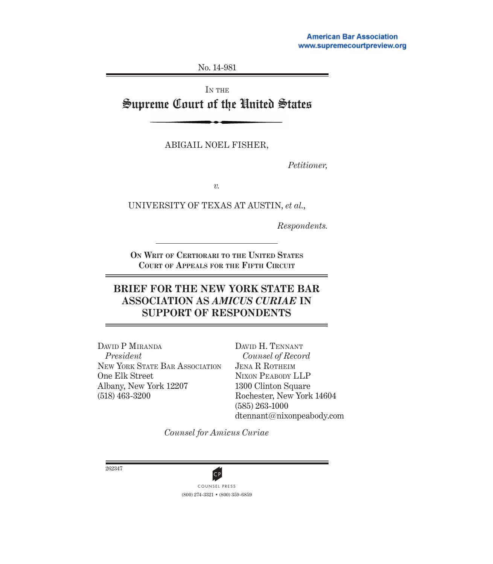No. 14-981

IN THE

# Supreme Court of the United States

ABIGAIL NOEL FISHER,

*Petitioner,*

*v.*

UNIVERSITY OF TEXAS AT AUSTIN, *et al.*,

*Respondents.*

**ON WRIT OF CERTIORARI TO THE UNITED STATES COURT OF APPEALS FOR THE FIFTH CIRCUIT**

# **BRIEF FOR THE NEW YORK STATE BAR ASSOCIATION AS** *AMICUS CURIAE* **IN SUPPORT OF RESPONDENTS**

DAVID P MIRANDA *President* NEW YORK STATE BAR ASSOCIATION One Elk Street Albany, New York 12207 (518) 463-3200

DAVID H. TENNANT *Counsel of Record* JENA R ROTHEIM NIXON PEABODY LLP 1300 Clinton Square Rochester, New York 14604 (585) 263-1000 dtennant@nixonpeabody.com

*Counsel for Amicus Curiae*

262347



(800) 274-3321 • (800) 359-6859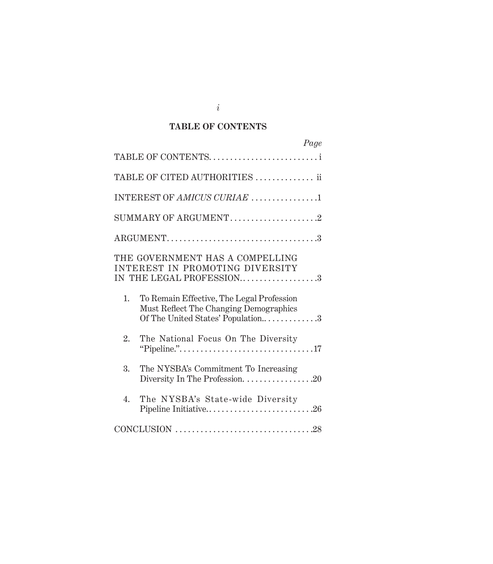# **TABLE OF CONTENTS**

| Page                                                                                                                           |  |
|--------------------------------------------------------------------------------------------------------------------------------|--|
| TABLE OF CONTENTS                                                                                                              |  |
| TABLE OF CITED AUTHORITIES  ii                                                                                                 |  |
| INTEREST OF AMICUS CURIAE 1                                                                                                    |  |
| SUMMARY OF ARGUMENT2                                                                                                           |  |
|                                                                                                                                |  |
| THE GOVERNMENT HAS A COMPELLING<br>INTEREST IN PROMOTING DIVERSITY<br>IN THE LEGAL PROFESSION3                                 |  |
| 1.<br>To Remain Effective, The Legal Profession<br>Must Reflect The Changing Demographics<br>Of The United States' Population3 |  |
| 2.<br>The National Focus On The Diversity                                                                                      |  |
| 3.<br>The NYSBA's Commitment To Increasing                                                                                     |  |
| 4.<br>The NYSBA's State-wide Diversity<br>Pipeline Initiative26                                                                |  |
|                                                                                                                                |  |

*i*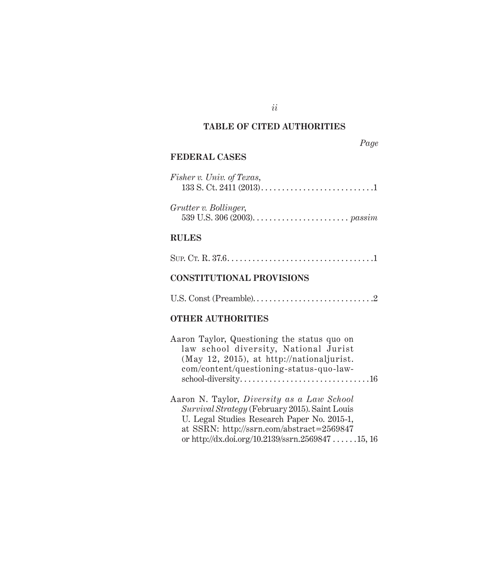# **TABLE OF CITED AUTHORITIES**

*ii*

## *Page*

### **FEDERAL CASES**

| Fisher v. Univ. of Texas,                                                                               |
|---------------------------------------------------------------------------------------------------------|
| Grutter v. Bollinger,<br>539 U.S. 306 (2003). $\ldots \ldots \ldots \ldots \ldots \ldots \ldots$ passim |

# **RULES**

|--|

## **CONSTITUTIONAL PROVISIONS**

U.S. Const (Preamble). . . . . . . . . . . . . . . . . . . . . . . . . . . . .2

# **OTHER AUTHORITIES**

| Aaron Taylor, Questioning the status quo on       |
|---------------------------------------------------|
| law school diversity, National Jurist             |
| $(May 12, 2015)$ , at http://nationaljurist.      |
| com/content/questioning-status-quo-law-           |
|                                                   |
|                                                   |
| Aaron N. Taylor, <i>Diversity</i> as a Law School |
| Survival Strategy (February 2015). Saint Louis    |
| U. Legal Studies Research Paper No. 2015-1,       |
| at SSRN: http://ssrn.com/abstract=2569847         |

or http://dx.doi.org/10.2139/ssrn.2569847 . . . . . .15, 16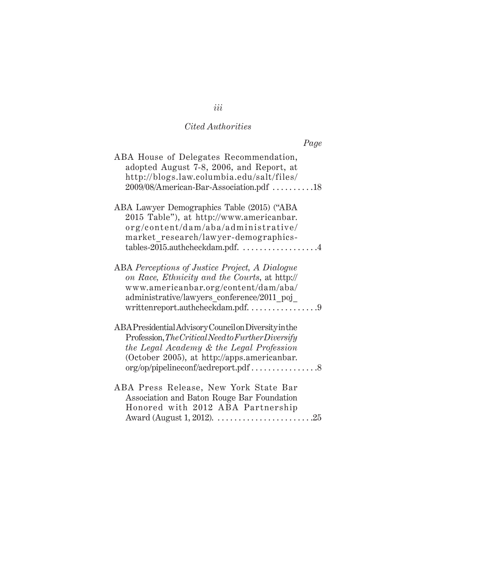| Page                                                                                                                                                                       |
|----------------------------------------------------------------------------------------------------------------------------------------------------------------------------|
| ABA House of Delegates Recommendation,<br>adopted August 7-8, 2006, and Report, at<br>http://blogs.law.columbia.edu/salt/files/<br>2009/08/American-Bar-Association.pdf 18 |
| ABA Lawyer Demographics Table (2015) ("ABA                                                                                                                                 |
| 2015 Table"), at http://www.americanbar.<br>org/content/dam/aba/administrative/<br>market_research/lawyer-demographics-<br>tables-2015.authcheckdam.pdf. 4                 |
|                                                                                                                                                                            |
| ABA Perceptions of Justice Project, A Dialogue<br>on Race, Ethnicity and the Courts, at http://                                                                            |
| www.americanbar.org/content/dam/aba/<br>administrative/lawyers conference/2011 poj<br>writtenreport.authcheckdam.pdf9                                                      |
| ABAPresidential Advisory Council on Diversity in the                                                                                                                       |
| Profession, The Critical Need to Further Diversify                                                                                                                         |
| the Legal Academy & the Legal Profession<br>(October 2005), at http://apps.americanbar.                                                                                    |
| org/op/pipelineconf/acdreport.pdf8                                                                                                                                         |
| ABA Press Release, New York State Bar                                                                                                                                      |
| Association and Baton Rouge Bar Foundation                                                                                                                                 |
| Honored with 2012 ABA Partnership                                                                                                                                          |

# *iii*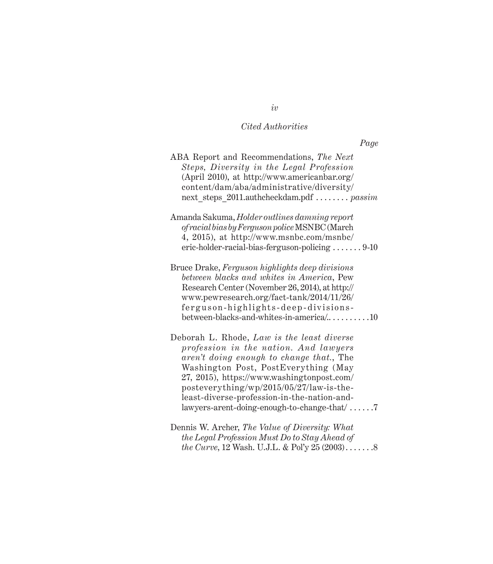*Page*

| ABA Report and Recommendations, The Next<br>Steps, Diversity in the Legal Profession<br>(April 2010), at http://www.americanbar.org/<br>content/dam/aba/administrative/diversity/<br>next steps 2011.authcheckdam.pdf  passim                                                                                                                                   |
|-----------------------------------------------------------------------------------------------------------------------------------------------------------------------------------------------------------------------------------------------------------------------------------------------------------------------------------------------------------------|
| Amanda Sakuma, Holder outlines damning report<br>of racial bias by Ferguson police MSNBC (March<br>4, 2015), at http://www.msnbc.com/msnbc/<br>$eric-holder-racial-bias-ferguson-policing \ldots 9-10$                                                                                                                                                          |
| Bruce Drake, Ferguson highlights deep divisions<br>between blacks and whites in America, Pew<br>Research Center (November 26, 2014), at http://<br>www.pewresearch.org/fact-tank/2014/11/26/<br>ferguson-highlights-deep-divisions-<br>between-blacks-and-whites-in-america/10                                                                                  |
| Deborah L. Rhode, Law is the least diverse<br>profession in the nation. And lawyers<br>aren't doing enough to change that., The<br>Washington Post, PostEverything (May<br>27, 2015), https://www.washingtonpost.com/<br>posteverything/wp/2015/05/27/law-is-the-<br>least-diverse-profession-in-the-nation-and-<br>lawyers-arent-doing-enough-to-change-that/7 |

Dennis W. Archer, *The Value of Diversity: What the Legal Profession Must Do to Stay Ahead of the Curve*, 12 Wash. U.J.L. & Pol'y 25 (2003)........8

# *iv*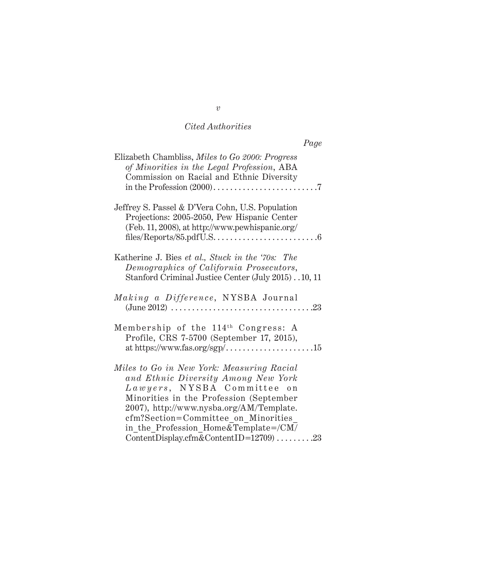| Page                                                                                                                                                                                                                                                                                                                            |
|---------------------------------------------------------------------------------------------------------------------------------------------------------------------------------------------------------------------------------------------------------------------------------------------------------------------------------|
| Elizabeth Chambliss, Miles to Go 2000: Progress<br>of Minorities in the Legal Profession, ABA<br>Commission on Racial and Ethnic Diversity                                                                                                                                                                                      |
| Jeffrey S. Passel & D'Vera Cohn, U.S. Population<br>Projections: 2005-2050, Pew Hispanic Center<br>(Feb. 11, 2008), at http://www.pewhispanic.org/<br>files/Reports/85.pdfU.S. $\dots \dots \dots \dots \dots \dots \dots \dots$                                                                                                |
| Katherine J. Bies et al., Stuck in the '70s: The<br>Demographics of California Prosecutors,<br>Stanford Criminal Justice Center (July 2015). . 10, 11                                                                                                                                                                           |
| Making a Difference, NYSBA Journal                                                                                                                                                                                                                                                                                              |
| Membership of the 114th Congress: A<br>Profile, CRS 7-5700 (September 17, 2015),                                                                                                                                                                                                                                                |
| Miles to Go in New York: Measuring Racial<br>and Ethnic Diversity Among New York<br>Lawyers, NYSBA Committee on<br>Minorities in the Profession (September<br>2007), http://www.nysba.org/AM/Template.<br>cfm?Section=Committee on Minorities<br>in the Profession Home&Template=/CM/<br>ContentDisplay.cfm&ContentID=12709) 23 |

### *v*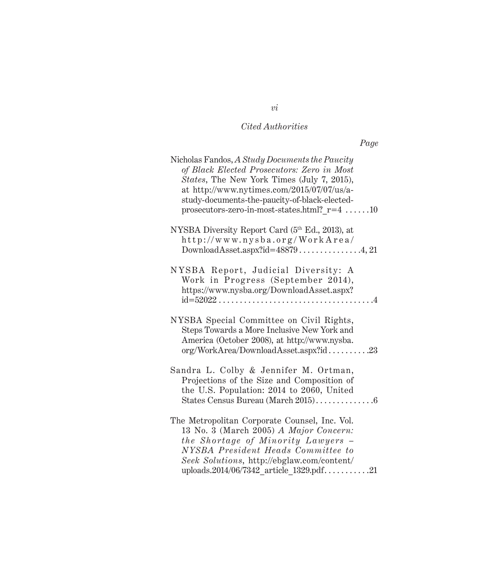| Nicholas Fandos, A Study Documents the Paucity<br>of Black Elected Prosecutors: Zero in Most<br><i>States</i> , The New York Times (July 7, 2015),<br>at http://www.nytimes.com/2015/07/07/us/a-<br>study-documents-the-paucity-of-black-elected-<br>prosecutors-zero-in-most-states.html? $r=4$ 10 |
|-----------------------------------------------------------------------------------------------------------------------------------------------------------------------------------------------------------------------------------------------------------------------------------------------------|
| NYSBA Diversity Report Card (5 <sup>th</sup> Ed., 2013), at<br>http://www.nysba.org/WorkArea/                                                                                                                                                                                                       |
| NYSBA Report, Judicial Diversity: A<br>Work in Progress (September 2014),<br>https://www.nysba.org/DownloadAsset.aspx?<br>$id = 52022 \ldots \ldots \ldots \ldots \ldots \ldots \ldots \ldots \ldots \ldots \ldots \ldots 4$                                                                        |
| NYSBA Special Committee on Civil Rights,<br>Steps Towards a More Inclusive New York and<br>America (October 2008), at http://www.nysba.<br>org/WorkArea/DownloadAsset.aspx?id23                                                                                                                     |
| Sandra L. Colby & Jennifer M. Ortman,<br>Projections of the Size and Composition of<br>the U.S. Population: 2014 to 2060, United<br>States Census Bureau (March 2015)6                                                                                                                              |
| The Metropolitan Corporate Counsel, Inc. Vol.<br>13 No. 3 (March 2005) A Major Concern:<br>the Shortage of Minority Lawyers -<br>NYSBA President Heads Committee to<br>Seek Solutions, http://ebglaw.com/content/<br>uploads.2014/06/7342_article_1329.pdf21                                        |

*vi*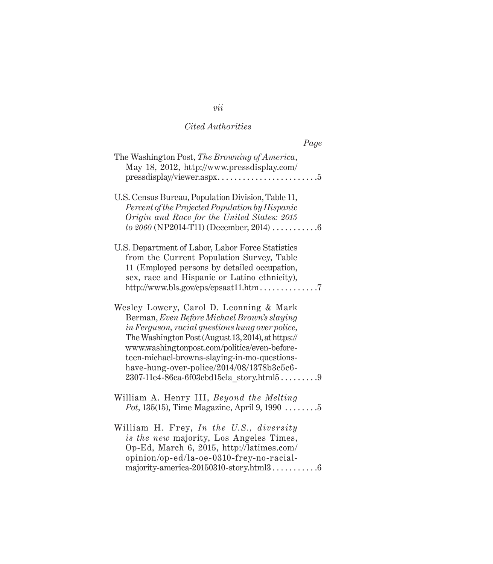| Page                                                                                                                                                                                                                                                                                                                                         |
|----------------------------------------------------------------------------------------------------------------------------------------------------------------------------------------------------------------------------------------------------------------------------------------------------------------------------------------------|
| The Washington Post, The Browning of America,<br>May 18, 2012, http://www.pressdisplay.com/<br>$presedisplay/viewer. aspx.\dots \dots \dots \dots \dots \dots \dots 5$                                                                                                                                                                       |
| U.S. Census Bureau, Population Division, Table 11,<br>Percent of the Projected Population by Hispanic<br>Origin and Race for the United States: 2015<br>to 2060 (NP2014-T11) (December, 2014) $\dots\dots\dots\dots$                                                                                                                         |
| U.S. Department of Labor, Labor Force Statistics<br>from the Current Population Survey, Table<br>11 (Employed persons by detailed occupation,<br>sex, race and Hispanic or Latino ethnicity),<br>http://www.bls.gov/cps/cpsaat11.htm7                                                                                                        |
| Wesley Lowery, Carol D. Leonning & Mark<br>Berman, Even Before Michael Brown's slaying<br>in Ferguson, racial questions hung over police,<br>The Washington Post (August 13, 2014), at https://<br>www.washingtonpost.com/politics/even-before-<br>teen-michael-browns-slaying-in-mo-questions-<br>have-hung-over-police/2014/08/1378b3c5c6- |
| William A. Henry III, Beyond the Melting<br><i>Pot</i> , 135(15), Time Magazine, April 9, 1990 $\dots \dots 5$                                                                                                                                                                                                                               |
| William H. Frey, In the U.S., diversity<br>is the new majority, Los Angeles Times,<br>Op-Ed, March 6, 2015, http://latimes.com/<br>opinion/op-ed/la-oe-0310-frey-no-racial-<br>majority-america-20150310-story.html36                                                                                                                        |

# *vii*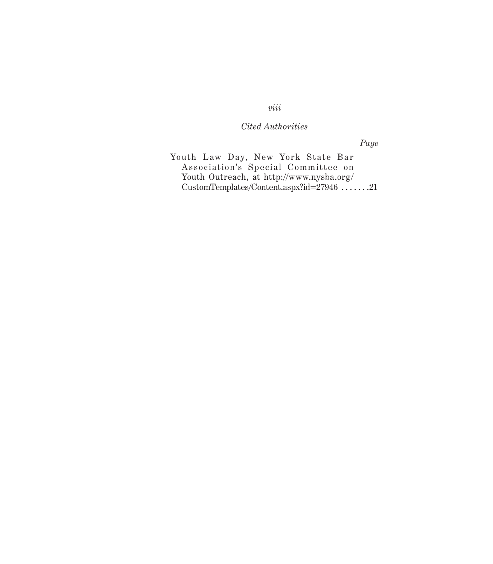*Page*

Youth Law Day, New York State Bar Association's Special Committee on Youth Outreach, at http://www.nysba.org/ CustomTemplates/Content.aspx?id=27946 . . . . . . .21

*viii*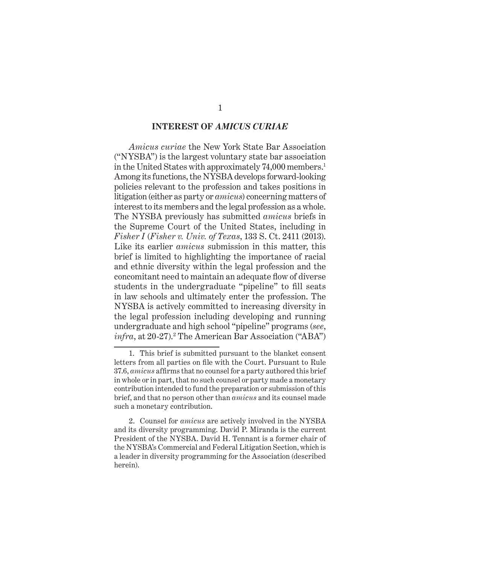### **INTEREST OF** *AMICUS CURIAE*

 *Amicus curiae* the New York State Bar Association ("NYSBA") is the largest voluntary state bar association in the United States with approximately 74,000 members.<sup>1</sup> Among its functions, the NYSBA develops forward-looking policies relevant to the profession and takes positions in litigation (either as party or *amicus*) concerning matters of interest to its members and the legal profession as a whole. The NYSBA previously has submitted *amicus* briefs in the Supreme Court of the United States, including in *Fisher I* ( *Fisher v. Univ. of Texas*, 133 S. Ct. 2411 (2013). Like its earlier *amicus* submission in this matter, this brief is limited to highlighting the importance of racial and ethnic diversity within the legal profession and the concomitant need to maintain an adequate flow of diverse students in the undergraduate "pipeline" to fill seats in law schools and ultimately enter the profession. The NYSBA is actively committed to increasing diversity in the legal profession including developing and running undergraduate and high school "pipeline" programs (*see*, *infra*, at 20-27).<sup>2</sup> The American Bar Association ("ABA")

<sup>1.</sup> This brief is submitted pursuant to the blanket consent letters from all parties on file with the Court. Pursuant to Rule 37.6, *amicus* affirms that no counsel for a party authored this brief in whole or in part, that no such counsel or party made a monetary contribution intended to fund the preparation or submission of this brief, and that no person other than *amicus* and its counsel made such a monetary contribution.

<sup>2.</sup> Counsel for *amicus* are actively involved in the NYSBA and its diversity programming. David P. Miranda is the current President of the NYSBA. David H. Tennant is a former chair of the NYSBA's Commercial and Federal Litigation Section, which is a leader in diversity programming for the Association (described herein).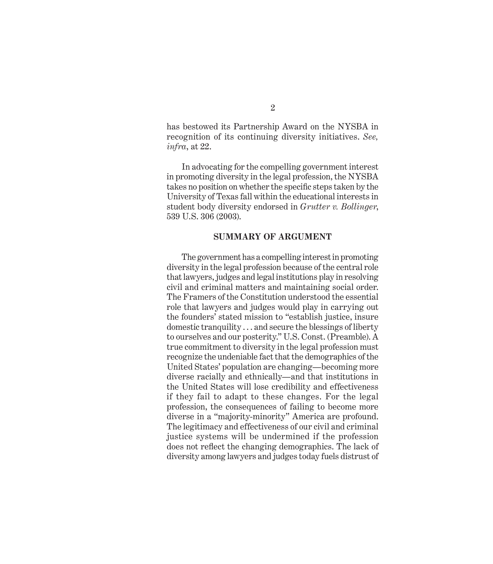has bestowed its Partnership Award on the NYSBA in recognition of its continuing diversity initiatives. *See, infra*, at 22.

In advocating for the compelling government interest in promoting diversity in the legal profession, the NYSBA takes no position on whether the specific steps taken by the University of Texas fall within the educational interests in student body diversity endorsed in *Grutter v. Bollinger*, 539 U.S. 306 (2003).

#### **SUMMARY OF ARGUMENT**

The government has a compelling interest in promoting diversity in the legal profession because of the central role that lawyers, judges and legal institutions play in resolving civil and criminal matters and maintaining social order. The Framers of the Constitution understood the essential role that lawyers and judges would play in carrying out the founders' stated mission to "establish justice, insure domestic tranquility . . . and secure the blessings of liberty to ourselves and our posterity." U.S. Const. (Preamble). A true commitment to diversity in the legal profession must recognize the undeniable fact that the demographics of the United States' population are changing—becoming more diverse racially and ethnically—and that institutions in the United States will lose credibility and effectiveness if they fail to adapt to these changes. For the legal profession, the consequences of failing to become more diverse in a "majority-minority" America are profound. The legitimacy and effectiveness of our civil and criminal justice systems will be undermined if the profession does not reflect the changing demographics. The lack of diversity among lawyers and judges today fuels distrust of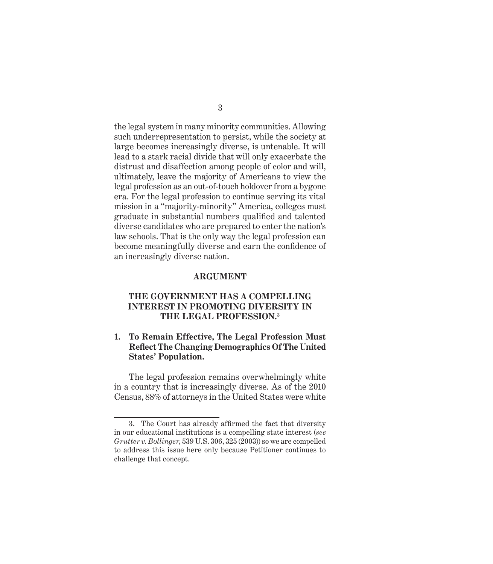the legal system in many minority communities. Allowing such underrepresentation to persist, while the society at large becomes increasingly diverse, is untenable. It will lead to a stark racial divide that will only exacerbate the distrust and disaffection among people of color and will, ultimately, leave the majority of Americans to view the legal profession as an out-of-touch holdover from a bygone era. For the legal profession to continue serving its vital mission in a "majority-minority" America, colleges must graduate in substantial numbers qualified and talented diverse candidates who are prepared to enter the nation's law schools. That is the only way the legal profession can become meaningfully diverse and earn the confidence of an increasingly diverse nation.

#### **ARGUMENT**

### **THE GOVERNMENT HAS A COMPELLING INTEREST IN PROMOTING DIVERSITY IN THE LEGAL PROFESSION.3**

### **1. To Remain Effective, The Legal Profession Must Refl ect The Changing Demographics Of The United States' Population.**

The legal profession remains overwhelmingly white in a country that is increasingly diverse. As of the 2010 Census, 88% of attorneys in the United States were white

<sup>3.</sup> The Court has already affirmed the fact that diversity in our educational institutions is a compelling state interest (*see Grutter v. Bollinger*, 539 U.S. 306, 325 (2003)) so we are compelled to address this issue here only because Petitioner continues to challenge that concept.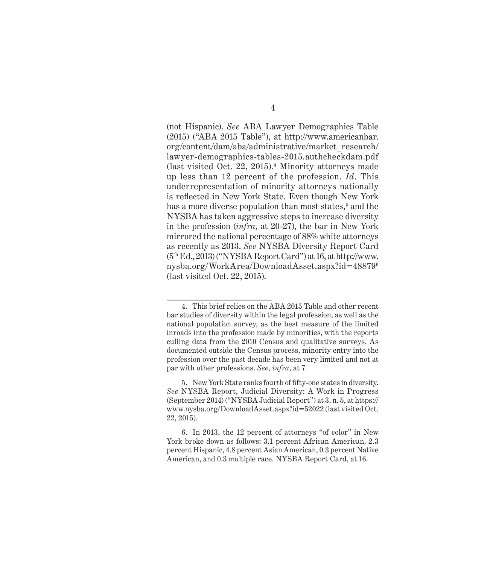(not Hispanic). *See* ABA Lawyer Demographics Table (2015) ("ABA 2015 Table"), at http://www.americanbar. org/content/dam/aba/administrative/market\_research/ lawyer-demographics-tables-2015.authcheckdam.pdf (last visited Oct. 22, 2015).4 Minority attorneys made up less than 12 percent of the profession. *Id*. This underrepresentation of minority attorneys nationally is reflected in New York State. Even though New York has a more diverse population than most states,<sup>5</sup> and the NYSBA has taken aggressive steps to increase diversity in the profession (*infra*, at 20-27), the bar in New York mirrored the national percentage of 88% white attorneys as recently as 2013. *See* NYSBA Diversity Report Card  $(5<sup>th</sup> Ed., 2013)$  ("NYSBA Report Card") at 16, at http://www. nysba.org/WorkArea/DownloadAsset.aspx?id=488796 (last visited Oct. 22, 2015).

<sup>4.</sup> This brief relies on the ABA 2015 Table and other recent bar studies of diversity within the legal profession, as well as the national population survey, as the best measure of the limited inroads into the profession made by minorities, with the reports culling data from the 2010 Census and qualitative surveys. As documented outside the Census process, minority entry into the profession over the past decade has been very limited and not at par with other professions. *See*, *infra*, at 7.

<sup>5.</sup> New York State ranks fourth of fifty-one states in diversity. *See* NYSBA Report, Judicial Diversity: A Work in Progress (September 2014) ("NYSBA Judicial Report") at 3, n. 5, at https:// www.nysba.org/DownloadAsset.aspx?id=52022 (last visited Oct. 22, 2015).

<sup>6.</sup> In 2013, the 12 percent of attorneys "of color" in New York broke down as follows: 3.1 percent African American, 2.3 percent Hispanic, 4.8 percent Asian American, 0.3 percent Native American, and 0.3 multiple race. NYSBA Report Card, at 16.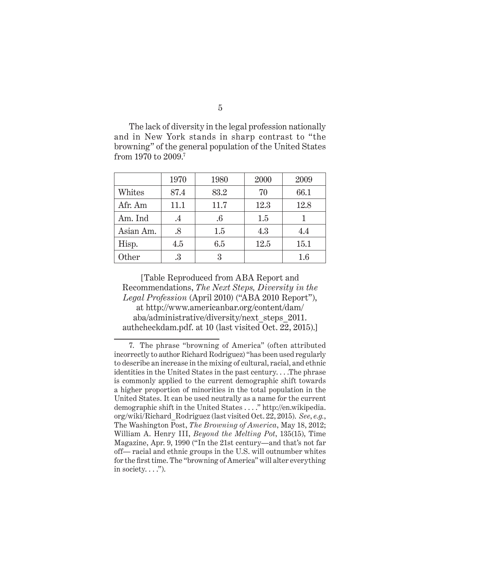The lack of diversity in the legal profession nationally and in New York stands in sharp contrast to "the browning" of the general population of the United States from 1970 to 2009.7

|           | 1970      | 1980   | 2000 | 2009    |
|-----------|-----------|--------|------|---------|
| Whites    | 87.4      | 83.2   | 70   | 66.1    |
| Afr. Am   | 11.1      | 11.7   | 12.3 | 12.8    |
| Am. Ind   | $\cdot$ 4 | $.6\,$ | 1.5  |         |
| Asian Am. | $.8\,$    | 1.5    | 4.3  | 4.4     |
| Hisp.     | 4.5       | 6.5    | 12.5 | 15.1    |
| Other     | .3        | 3      |      | $1.6\,$ |

[Table Reproduced from ABA Report and Recommendations, *The Next Steps, Diversity in the Legal Profession* (April 2010) ("ABA 2010 Report"), at http://www.americanbar.org/content/dam/ aba/administrative/diversity/next\_steps\_2011. authcheckdam.pdf. at 10 (last visited Oct. 22, 2015).]

<sup>7.</sup> The phrase "browning of America" (often attributed incorrectly to author Richard Rodriguez) "has been used regularly to describe an increase in the mixing of cultural, racial, and ethnic identities in the United States in the past century. . . .The phrase is commonly applied to the current demographic shift towards a higher proportion of minorities in the total population in the United States. It can be used neutrally as a name for the current demographic shift in the United States . . . ." http://en.wikipedia. org/wiki/Richard\_Rodriguez (last visited Oct. 22, 2015). *See*, *e.g.*, The Washington Post, *The Browning of America*, May 18, 2012; W illiam A. Henry III, *Beyond the Melting Pot*, 135(15), Time Magazine, Apr. 9, 1990 ("In the 21st century—and that's not far off— racial and ethnic groups in the U.S. will outnumber whites for the first time. The "browning of America" will alter everything in society.  $\dots$ ").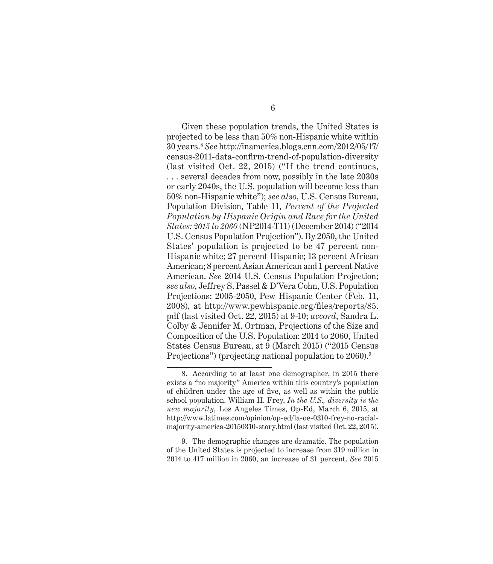Given these population trends, the United States is projected to be less than 50% non-Hispanic white within 30 years.8  *See* htt p://inamerica.blogs.cnn.com/2012/05/17/ census-2011-data-confirm-trend-of-population-diversity (last visited Oct. 22, 2015) ("If the trend continues, . . . several decades from now, possibly in the late 2030s or early 2040s, the U.S. population will become less than 50% non-Hispanic white"); *see also*, U.S . Census Bureau, Population Division, Table 11, *Percent of the Projected Population by Hispanic Origin and Race for the United States: 2015 to 2060* (NP2014-T11) (December 2014) ("2014 U.S. Census Population Projection"). By 2050, the United States' population is projected to be 47 percent non-Hispanic white; 27 percent Hispanic; 13 percent African American; 8 percent Asian American and 1 percent Native American. *See* 2014 U.S. Census Population Projection; *see also*, Jef frey S. Passel & D'Vera Cohn, U.S. Population Projections: 2005-2050, Pew Hispanic Center (Feb. 11, 2008), at http://www.pewhispanic.org/files/reports/85. pdf (last visited Oct. 22, 2015) at 9-10; *accord*, Sandra L. Colby & Jennifer M. Ortman, Projections of the Size and Composition of the U.S. Population: 2014 to 2060, United States Census Bureau, at 9 (March 2015) ("2015 Census Projections") (projecting national population to 2060).<sup>9</sup>

9. The demographic changes are dramatic. The population of the United States is projected to increase from 319 million in 2014 to 417 million in 2060, an increase of 31 percent. *See* 2015

<sup>8.</sup> According to at least one demographer, in 2015 there exists a "no majority" America within this country's population of children under the age of five, as well as within the public school population. William H. Frey, *In the U.S., diversity is the new majority*, Los Angeles Times, Op-Ed, March 6, 2015, at http://www.latimes.com/opinion/op-ed/la-oe-0310-frey-no-racialmajority-america-20150310-story.html (last visited Oct. 22, 2015).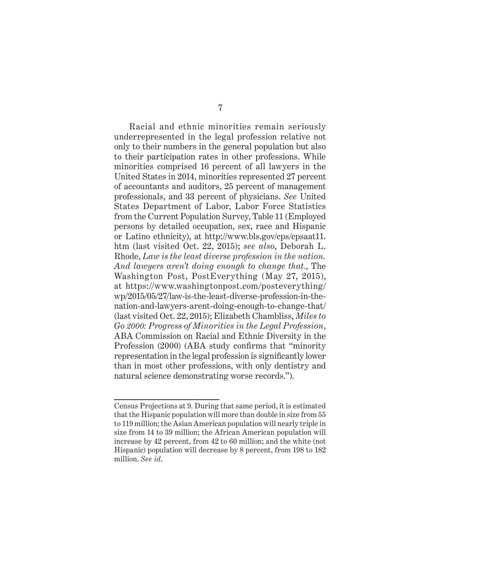Racial and ethnic minorities remain seriously underrepresented in the legal profession relative not only to their numbers in the general population but also to their participation rates in other professions. While minorities comprised 16 percent of all lawyers in the United States in 2014, minorities represented 27 percent of accountants and auditors, 25 percent of management professionals, and 33 percent of physicians. *See* United States Department of Labor, Labor Force Statistics from the Current Population Survey, Table 11 (Employed persons by detailed occupation, sex, race and Hispanic or Latino ethnicity), at http://www.bls.gov/cps/cpsaat11. htm (last visited Oct. 22, 2015); *see also*, Deborah L. Rhode, *Law is the least diverse profession in the nation. And lawyers aren't doing enough to change that.*, The Washington Post, PostEverything (May 27, 2015), at https://www.washingtonpost.com/posteverything/ wp/2015/05/27/law-is-the-least-diverse-profession-in-thenation-and-lawyers-arent-doing-enough-to-change-that/ (last visited Oct. 22, 2015); Elizabeth Chambliss, *Miles to Go 2000: Progress of Minorities in the Legal Profession*, ABA Commission on Racial and Ethnic Diversity in the Profession (2000) (ABA study confirms that "minority" representation in the legal profession is significantly lower than in most other professions, with only dentistry and natural science demonstrating worse records.").

Census Projections at 9. During that same period, it is estimated that the Hispanic population will more than double in size from 55 to 119 million; the Asian American population will nearly triple in size from 14 to 39 million; the African American population will increase by 42 percent, from 42 to 60 million; and the white (not Hispanic) population will decrease by 8 percent, from 198 to 182 million. *See id*.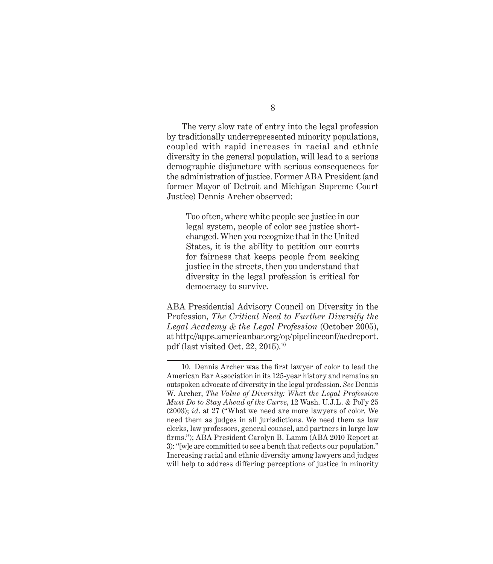The very slow rate of entry into the legal profession by traditionally underrepresented minority populations, coupled with rapid increases in racial and ethnic diversity in the general population, will lead to a serious demographic disjuncture with serious consequences for the administration of justice. Former ABA President (and former Mayor of Detroit and Michigan Supreme Court Justice) Dennis Archer observed:

Too often, where white people see justice in our legal system, people of color see justice shortchanged. When you recognize that in the United States, it is the ability to petition our courts for fairness that keeps people from seeking justice in the streets, then you understand that diversity in the legal profession is critical for democracy to survive.

ABA Presidential Advisory Council on Diversity in the Profession, *The Critical Need to Further Diversify the Legal Academy & the Legal Profession* (October 2005), at http://apps.americanbar.org/op/pipelineconf/acdreport. pdf (last visited Oct. 22, 2015).10

<sup>10.</sup> Dennis Archer was the first lawyer of color to lead the American Bar Association in its 125-year history and remains an outspoken advocate of diversity in the legal profession. *See* Dennis W. Archer, *The Value of Diversity: What the Legal Profession Must Do to Stay Ahead of the Curve*, 12 Wash. U.J.L. & Pol'y 25 (2003); *id*. at 27 ("What we need are more lawyers of color. We need them as judges in all jurisdictions. We need them as law clerks, law professors, general counsel, and partners in large law firms."); ABA President Carolyn B. Lamm (ABA 2010 Report at 3): "[w]e are committed to see a bench that reflects our population." Increasing racial and ethnic diversity among lawyers and judges will help to address differing perceptions of justice in minority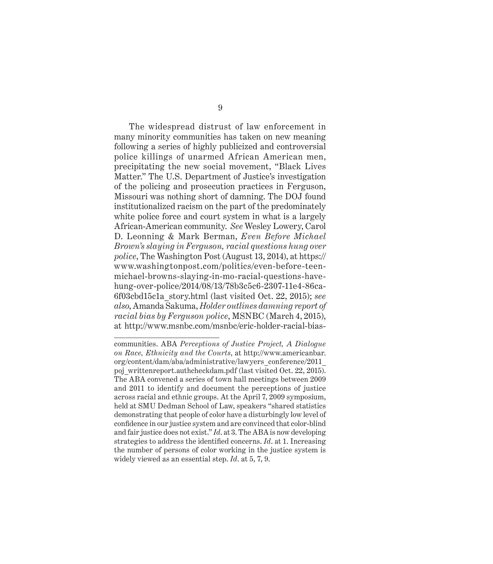The widespread distrust of law enforcement in many minority communities has taken on new meaning following a series of highly publicized and controversial police killings of unarmed African American men, precipitating the new social movement, "Black Lives Matter." The U.S. Department of Justice's investigation of the policing and prosecution practices in Ferguson, Missouri was nothing short of damning. The DOJ found institutionalized racism on the part of the predominately white police force and court system in what is a largely African-American community. See Wesley Lowery, Carol D. Leonning & Mark Berman, *Even Before Michael Brown's slaying in Ferguson, racial questions hung over police*, The Washington Post (August 13, 2014), at https:// www.washingtonpost.com/politics/even-before-teenmichael-browns-slaying-in-mo-racial-questions-havehung-over-police/2014/08/13/78b3c5c6-2307-11e4-86ca-6f03cbd15c1a\_story.html (last visited Oct. 22, 2015); *see also*, Ama nda Sakuma, *Holder outlines damning report of racial bias by Ferguson police*, MSN BC (March 4, 2015), at http://www.msnbc.com/msnbc/eric-holder-racial-bias-

communities. ABA *Perceptions of Justice Project, A Dialogue on Race, Ethnicity and the Courts*, at http://www.americanbar. org/content/dam/aba/administrative/lawyers\_conference/2011\_ poj\_writtenreport.authcheckdam.pdf (last visited Oct. 22, 2015). The ABA convened a series of town hall meetings between 2009 and 2011 to identify and document the perceptions of justice across racial and ethnic groups. At the April 7, 2009 symposium, held at SMU Dedman School of Law, speakers "shared statistics demonstrating that people of color have a disturbingly low level of confidence in our justice system and are convinced that color-blind and fair justice does not exist." *Id*. at 3. The ABA is now developing strategies to address the identified concerns. *Id.* at 1. Increasing the number of persons of color working in the justice system is widely viewed as an essential step. *Id*. at 5, 7, 9.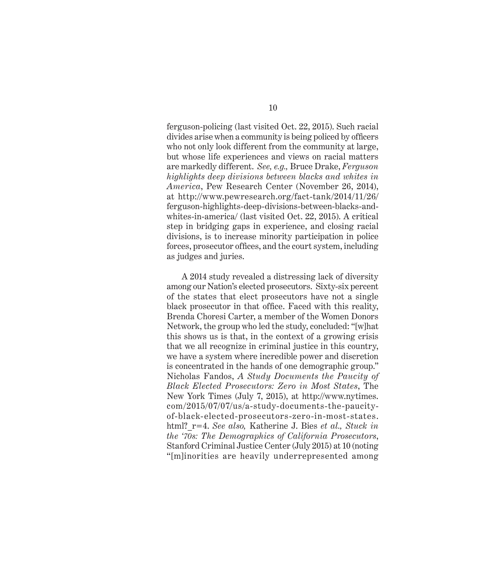ferguson-policing (last visited Oct. 22, 2015). Such racial divides arise when a community is being policed by officers who not only look different from the community at large, but whose life experiences and views on racial matters are markedly different. *See, e.g.*, Bruce Drake, *Ferguson highlights deep divisions between blacks and whites in America*, Pew Research Center (November 26, 2014), at http://www.pewresearch.org/fact-tank/2014/11/26/ ferguson-highlights-deep-divisions-between-blacks-andwhites-in-america/ (last visited Oct. 22, 2015). A critical step in bridging gaps in experience, and closing racial divisions, is to increase minority participation in police forces, prosecutor offices, and the court system, including as judges and juries.

A 2014 study revealed a distressing lack of diversity among our Nation's elected prosecutors. Sixty-six percent of the states that elect prosecutors have not a single black prosecutor in that office. Faced with this reality, Brenda Choresi Carter, a member of the Women Donors Network, the group who led the study, concluded: "[w]hat this shows us is that, in the context of a growing crisis that we all recognize in criminal justice in this country, we have a system where incredible power and discretion is concentrated in the hands of one demographic group." Nicholas Fandos, *A Study Documents the Paucity of Black Elected Prosecutors: Zero in Most States*, The New York Times (July 7, 2015), at http://www.nytimes. com/2015/07/07/us/a-study-documents-the-paucityof-black-elected-prosecutors-zero-in-most-states. html?\_r=4. *See also,* Katherine J. Bies *et al., Stuck in the '70s: The Demographics of California Prosecutors*, Stanford Criminal Justice Center (July 2015) at 10 (noting "[m]inorities are heavily underrepresented among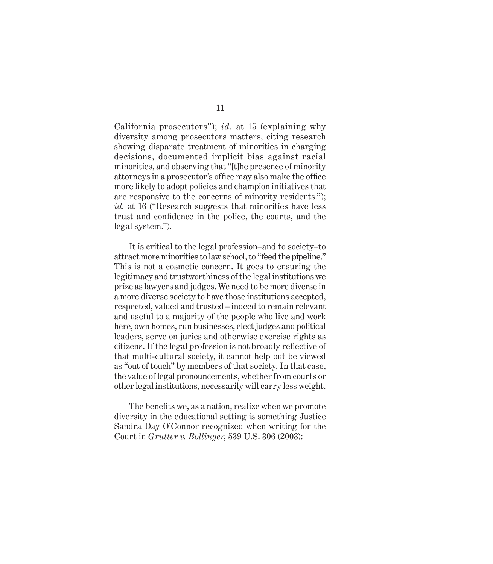California prosecutors"); *id.* at 15 (explaining why diversity among prosecutors matters, citing research showing disparate treatment of minorities in charging decisions, documented implicit bias against racial minorities, and observing that "[t]he presence of minority attorneys in a prosecutor's office may also make the office more likely to adopt policies and champion initiatives that are responsive to the concerns of minority residents."); *id.* at 16 ("Research suggests that minorities have less trust and confidence in the police, the courts, and the legal system.").

It is critical to the legal profession–and to society–to attract more minorities to law school, to "feed the pipeline." This is not a cosmetic concern. It goes to ensuring the legitimacy and trustworthiness of the legal institutions we prize as lawyers and judges. We need to be more diverse in a more diverse society to have those institutions accepted, respected, valued and trusted – indeed to remain relevant and useful to a majority of the people who live and work here, own homes, run businesses, elect judges and political leaders, serve on juries and otherwise exercise rights as citizens. If the legal profession is not broadly reflective of that multi-cultural society, it cannot help but be viewed as "out of touch" by members of that society. In that case, the value of legal pronouncements, whether from courts or other legal institutions, necessarily will carry less weight.

The benefits we, as a nation, realize when we promote diversity in the educational setting is something Justice Sandra Day O'Connor recognized when writing for the Court in *Gru tter v. Bollinger*, 539 U.S. 306 (2003):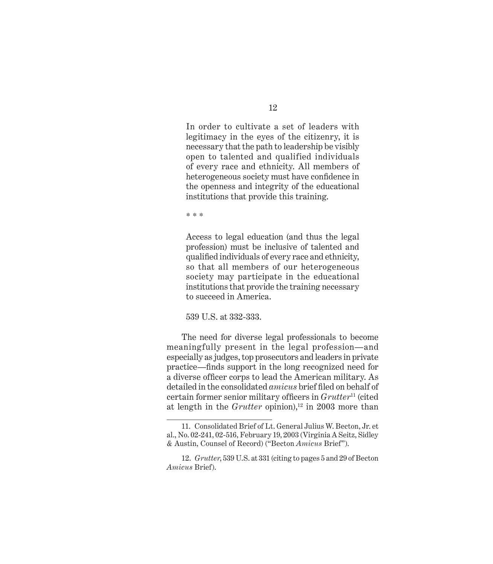In order to cultivate a set of leaders with legitimacy in the eyes of the citizenry, it is necessary that the path to leadership be visibly open to talented and qualified individuals of every race and ethnicity. All members of heterogeneous society must have confidence in the openness and integrity of the educational institutions that provide this training.

\* \* \*

Access to legal education (and thus the legal profession) must be inclusive of talented and qualified individuals of every race and ethnicity, so that all members of our heterogeneous society may participate in the educational institutions that provide the training necessary to succeed in America.

539 U.S. at 332-333.

The need for diverse legal professionals to become meaningfully present in the legal profession—and especially as judges, top prosecutors and leaders in private practice—fi nds support in the long recognized need for a diverse officer corps to lead the American military. As detailed in the consolidated *amicus* brief filed on behalf of certain former senior military officers in *Grutter*<sup>11</sup> (cited at length in the *Grutter* opinion),<sup>12</sup> in 2003 more than

<sup>11.</sup> Consolidated Brief of Lt. General Julius W. Becton, Jr. et al., No. 02-241, 02-516, February 19, 2003 (Virginia A Seitz, Sidley & Austin, Counsel of Record) ("Becton *Amicus* Brief").

<sup>12.</sup> *Grutter*, 539 U.S. at 331 (citing to pages 5 and 29 of Becton *Amicus* Brief).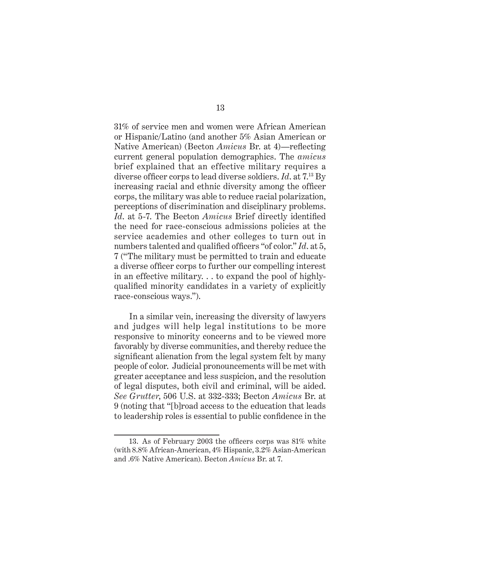31% of service men and women were African American or Hispanic/Latino (and another 5% Asian American or Native American) (Becton *Amicus* Br. at 4)—reflecting current general population demographics. The *amicus* brief explained that an effective military requires a diverse officer corps to lead diverse soldiers. *Id.* at  $7^{13}$  By increasing racial and ethnic diversity among the officer corps, the military was able to reduce racial polarization, perceptions of discrimination and disciplinary problems. *Id.* at 5-7. The Becton *Amicus* Brief directly identified the need for race-conscious admissions policies at the service academies and other colleges to turn out in numbers talented and qualified officers "of color." *Id.* at 5, 7 ("The military must be permitted to train and educate a diverse officer corps to further our compelling interest in an effective military. . . to expand the pool of highlyqualified minority candidates in a variety of explicitly race-conscious ways.").

In a similar vein, increasing the diversity of lawyers and judges will help legal institutions to be more responsive to minority concerns and to be viewed more favorably by diverse communities, and thereby reduce the significant alienation from the legal system felt by many people of color. Judicial pronouncements will be met with greater acceptance and less suspicion, and the resolution of legal disputes, both civil and criminal, will be aided. *See Gru tter*, 506 U.S. at 332-333; Becton *Amicus* Br. at 9 (noting that "[b]road access to the education that leads to leadership roles is essential to public confidence in the

<sup>13.</sup> As of February 2003 the officers corps was  $81\%$  white (with 8.8% African-American, 4% Hispanic, 3.2% Asian-American and .6% Native American). Becton *Amicus* Br. at 7.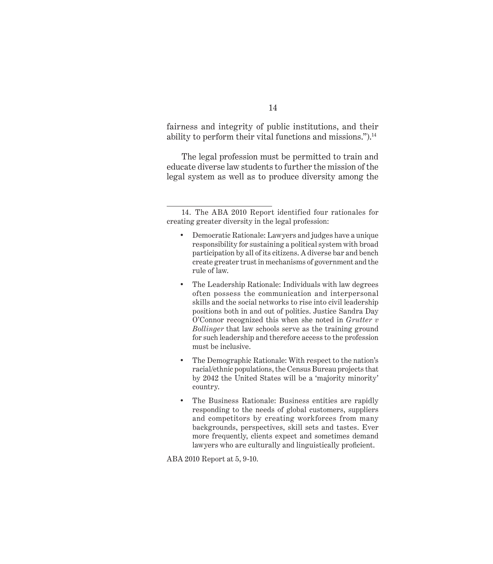fairness and integrity of public institutions, and their ability to perform their vital functions and missions.").<sup>14</sup>

The legal profession must be permitted to train and educate diverse law students to further the mission of the legal system as well as to produce diversity among the

- Democratic Rationale: Lawyers and judges have a unique responsibility for sustaining a political system with broad participation by all of its citizens. A diverse bar and bench create greater trust in mechanisms of government and the rule of law.
- The Leadership Rationale: Individuals with law degrees often possess the communication and interpersonal skills and the social networks to rise into civil leadership positions both in and out of politics. Justice Sandra Day O'Connor recognized this when she noted in *Grutter v Bollinger* that law schools serve as the training ground for such leadership and therefore access to the profession must be inclusive.
- The Demographic Rationale: With respect to the nation's racial/ethnic populations, the Census Bureau projects that by 2042 the United States will be a 'majority minority' country.
- The Business Rationale: Business entities are rapidly responding to the needs of global customers, suppliers and competitors by creating workforces from many backgrounds, perspectives, skill sets and tastes. Ever more frequently, clients expect and sometimes demand lawyers who are culturally and linguistically proficient.

ABA 2010 Report at 5, 9-10.

<sup>14.</sup> The ABA 2010 Report identified four rationales for creating greater diversity in the legal profession: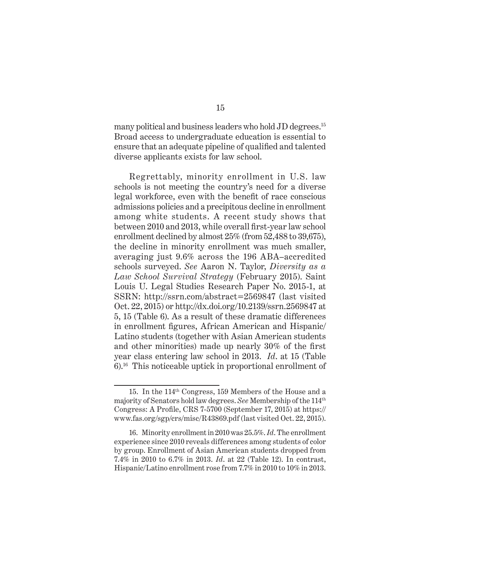many political and business leaders who hold JD degrees.<sup>15</sup> Broad access to undergraduate education is essential to ensure that an adequate pipeline of qualified and talented diverse applicants exists for law school.

Regrettably, minority enrollment in U.S. law schools is not meeting the country's need for a diverse legal workforce, even with the benefit of race conscious admissions policies and a precipitous decline in enrollment among white students. A recent study shows that between 2010 and 2013, while overall first-year law school enrollment declined by almost  $25\%$  (from  $52,488$  to  $39,675$ ), the decline in minority enrollment was much smaller, averaging just 9.6% across the 196 ABA–accredited schools surveyed. *See* Aaron N. Taylor, *Diversity as a Law School Survival Strategy* (February 2015). Saint Louis U. Legal Studies Research Paper No. 2015-1, at SSRN: http://ssrn.com/abstract=2569847 (last visited Oct. 22, 2015) or http://dx.doi.org/10.2139/ssrn.2569847 at 5, 15 (Table 6). As a result of these dramatic differences in enrollment figures, African American and Hispanic Latino students (together with Asian American students and other minorities) made up nearly  $30\%$  of the first year class entering law school in 2013. *Id*. at 15 (Table 6).16 This noticeable uptick in proportional enrollment of

<sup>15.</sup> In the 114<sup>th</sup> Congress, 159 Members of the House and a majority of Senators hold law degrees. *See* Membership of the 114th Congress: A Profile, CRS  $7-5700$  (September 17, 2015) at https:// www.fas.org/sgp/crs/misc/R43869.pdf (last visited Oct. 22, 2015).

<sup>16.</sup> Minority enrollment in 2010 was 25.5%. *Id*. The enrollment experience since 2010 reveals differences among students of color by group. Enrollment of Asian American students dropped from 7.4% in 2010 to 6.7% in 2013. *Id*. at 22 (Table 12). In contrast, Hispanic/Latino enrollment rose from 7.7% in 2010 to 10% in 2013.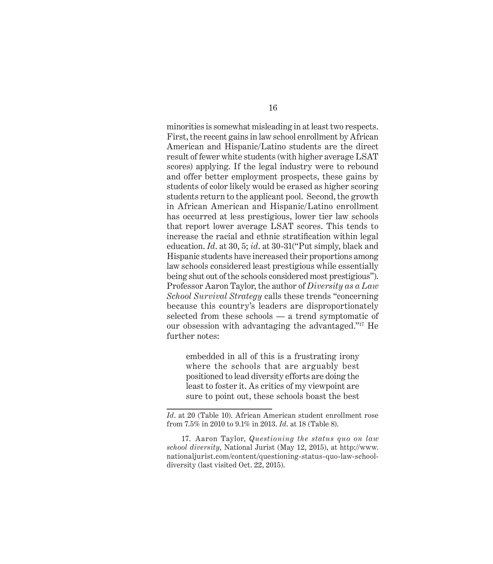minorities is somewhat misleading in at least two respects. First, the recent gains in law school enrollment by African American and Hispanic/Latino students are the direct result of fewer white students (with higher average LSAT scores) applying. If the legal industry were to rebound and offer better employment prospects, these gains by students of color likely would be erased as higher scoring students return to the applicant pool. Second, the growth in African American and Hispanic/Latino enrollment has occurred at less prestigious, lower tier law schools that report lower average LSAT scores. This tends to increase the racial and ethnic stratification within legal education. *Id*. at 30, 5; *id*. at 30-31("Put simply, black and Hispanic students have increased their proportions among law schools considered least prestigious while essentially being shut out of the schools considered most prestigious"). Professor Aaron Taylor, the author of *Diversity as a Law School Survival Strategy* calls these trends "concerning because this country's leaders are disproportionately selected from these schools — a trend symptomatic of our obsession with advantaging the advantaged."17 He further notes:

embedded in all of this is a frustrating irony where the schools that are arguably best positioned to lead diversity efforts are doing the least to foster it. As critics of my viewpoint are sure to point out, these schools boast the best

*Id*. at 20 (Table 10). African American student enrollment rose from 7.5% in 2010 to 9.1% in 2013. *Id*. at 18 (Table 8).

<sup>17.</sup> Aaron Taylor, *Questioning the status quo on law school diversity*, National Jurist (May 12, 2015), at http://www. nationaljurist.com/content/questioning-status-quo-law-schooldiversity (last visited Oct. 22, 2015).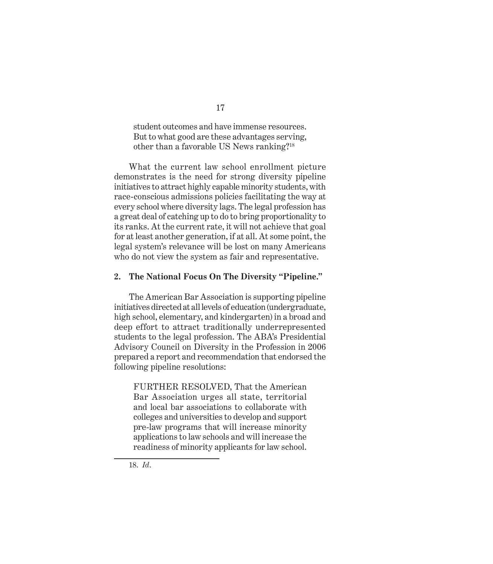student outcomes and have immense resources. But to what good are these advantages serving, other than a favorable US News ranking?18

What the current law school enrollment picture demonstrates is the need for strong diversity pipeline initiatives to attract highly capable minority students, with race-conscious admissions policies facilitating the way at every school where diversity lags. The legal profession has a great deal of catching up to do to bring proportionality to its ranks. At the current rate, it will not achieve that goal for at least another generation, if at all. At some point, the legal system's relevance will be lost on many Americans who do not view the system as fair and representative.

#### **2. The National Focus On The Diversity "Pipeline."**

The American Bar Association is supporting pipeline initiatives directed at all levels of education (undergraduate, high school, elementary, and kindergarten) in a broad and deep effort to attract traditionally underrepresented students to the legal profession. The ABA's Presidential Advisory Council on Diversity in the Profession in 2006 prepared a report and recommendation that endorsed the following pipeline resolutions:

FURTHER RESOLVED, That the American Bar Association urges all state, territorial and local bar associations to collaborate with colleges and universities to develop and support pre-law programs that will increase minority applications to law schools and will increase the readiness of minority applicants for law school.

<sup>18.</sup> *Id*.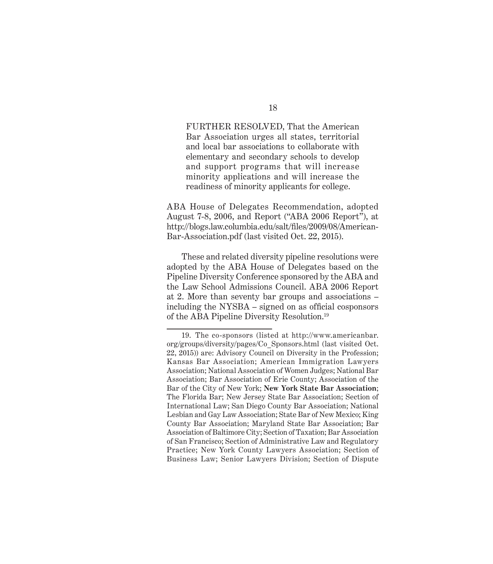FURTHER RESOLVED, That the American Bar Association urges all states, territorial and local bar associations to collaborate with elementary and secondary schools to develop and support programs that will increase minority applications and will increase the readiness of minority applicants for college.

ABA House of Delegates Recommendation, adopted Aug ust 7-8, 2006, and Report ("ABA 2006 Report"), at http://blogs.law.columbia.edu/salt/files/2009/08/American-Bar-Association.pdf (last visited Oct. 22, 2015).

These and related diversity pipeline resolutions were adopted by the ABA House of Delegates based on the Pipeline Diversity Conference sponsored by the ABA and the Law School Admissions Council. ABA 2006 Report at 2. More than seventy bar groups and associations – including the NYSBA – signed on as official cosponsors of the ABA Pipeline Diversity Resolution.19

<sup>19.</sup> The co-sponsors (listed at http://www.americanbar. org/groups/diversity/pages/Co\_Sponsors.html (last visited Oct. 22, 2015)) are: Advisory Council on Diversity in the Profession; Kansas Bar Association; American Immigration Lawyers Association; National Association of Women Judges; National Bar Association; Bar Association of Erie County; Association of the Bar of the City of New York; **New York State Bar Association**; The Florida Bar; New Jersey State Bar Association; Section of International Law; San Diego County Bar Association; National Lesbian and Gay Law Association; State Bar of New Mexico; King County Bar Association; Maryland State Bar Association; Bar Association of Baltimore City; Section of Taxation; Bar Association of San Francisco; Section of Administrative Law and Regulatory Practice; New York County Lawyers Association; Section of Business Law; Senior Lawyers Division; Section of Dispute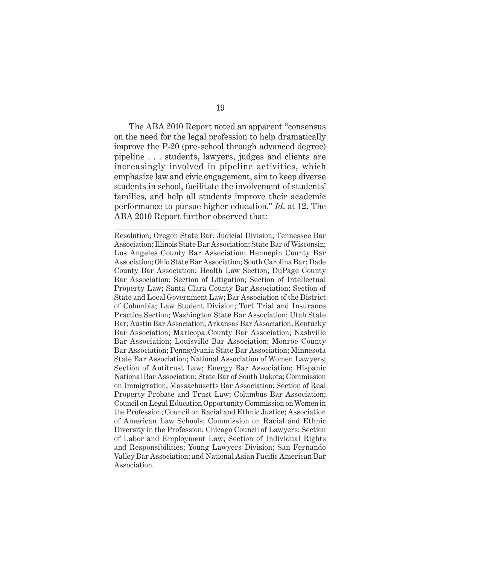19

The ABA 2010 Report noted an apparent "consensus on the need for the legal profession to help dramatically improve the P-20 (pre-school through advanced degree) pipeline . . . students, lawyers, judges and clients are increasingly involved in pipeline activities, which emphasize law and civic engagement, aim to keep diverse students in school, facilitate the involvement of students' families, and help all students improve their academic performance to pursue higher education." *Id*. at 12. The ABA 2010 Report further observed that:

Resolution; Oregon State Bar; Judicial Division; Tennessee Bar Association; Illinois State Bar Association; State Bar of Wisconsin; Los Angeles County Bar Association; Hennepin County Bar Association; Ohio State Bar Association; South Carolina Bar; Dade County Bar Association; Health Law Section; DuPage County Bar Association; Section of Litigation; Section of Intellectual Property Law; Santa Clara County Bar Association; Section of State and Local Government Law; Bar Association of the District of Columbia; Law Student Division; Tort Trial and Insurance Practice Section; Washington State Bar Association; Utah State Bar; Austin Bar Association; Arkansas Bar Association; Kentucky Bar Association; Maricopa County Bar Association; Nashville Bar Association; Louisville Bar Association; Monroe County Bar Association; Pennsylvania State Bar Association; Minnesota State Bar Association; National Association of Women Lawyers; Section of Antitrust Law; Energy Bar Association; Hispanic National Bar Association; State Bar of South Dakota; Commission on Immigration; Massachusetts Bar Association; Section of Real Property Probate and Trust Law; Columbus Bar Association; Council on Legal Education Opportunity Commission on Women in the Profession; Council on Racial and Ethnic Justice; Association of American Law Schools; Commission on Racial and Ethnic Diversity in the Profession; Chicago Council of Lawyers; Section of Labor and Employment Law; Section of Individual Rights and Responsibilities; Young Lawyers Division; San Fernando Valley Bar Association; and National Asian Pacific American Bar Association.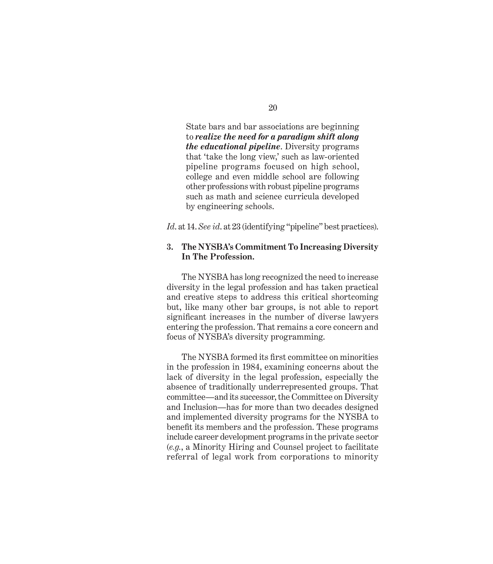State bars and bar associations are beginning to *realize the need for a paradigm shift along the educational pipeline*. Diversity programs that 'take the long view,' such as law-oriented pipeline programs focused on high school, college and even middle school are following other professions with robust pipeline programs such as math and science curricula developed by engineering schools.

*Id*. at 14. *See id*. at 23 (identifying "pipeline" best practices).

### **3. The NYSBA's Commitment To Increasing Diversity In The Profession.**

The NYSBA has long recognized the need to increase diversity in the legal profession and has taken practical and creative steps to address this critical shortcoming but, like many other bar groups, is not able to report significant increases in the number of diverse lawyers entering the profession. That remains a core concern and focus of NYSBA's diversity programming.

The NYSBA formed its first committee on minorities in the profession in 1984, examining concerns about the lack of diversity in the legal profession, especially the absence of traditionally underrepresented groups. That committee—and its successor, the Committee on Diversity and Inclusion—has for more than two decades designed and implemented diversity programs for the NYSBA to benefit its members and the profession. These programs include career development programs in the private sector (*e.g.*, a Minority Hiring and Counsel project to facilitate referral of legal work from corporations to minority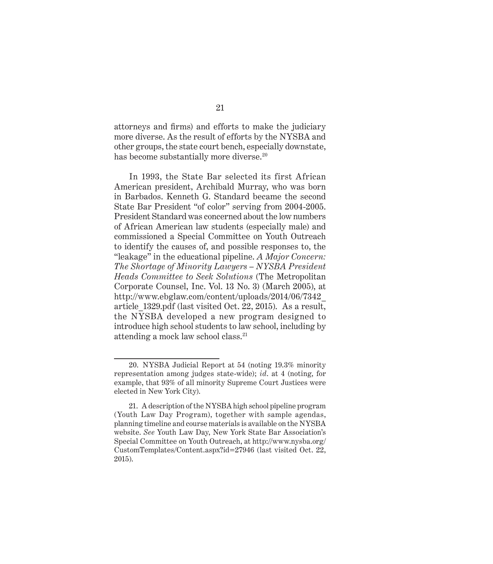attorneys and firms) and efforts to make the judiciary more diverse. As the result of efforts by the NYSBA and other groups, the state court bench, especially downstate, has become substantially more diverse.<sup>20</sup>

In 1993, the State Bar selected its first African American president, Archibald Murray, who was born in Barbados. Kenneth G. Standard became the second State Bar President "of color" serving from 2004-2005. President Standard was concerned about the low numbers of African American law students (especially male) and commissioned a Special Committee on Youth Outreach to identify the causes of, and possible responses to, the "leakage" in the educational pipeline. *A Major Concern: The Shortage of Minority Lawyers – NYSBA President Heads Committee to Seek Solutions* ( The Metropolitan Corporate Counsel, Inc. Vol. 13 No. 3) (March 2005), at http://www.ebglaw.com/content/uploads/2014/06/7342\_ article\_1329.pdf (last visited Oct. 22, 2015). As a result, the NYSBA developed a new program designed to introduce high school students to law school, including by attending a mock law school class.21

<sup>20.</sup> NYSBA Judicial Report at 54 (noting 19.3% minority representation among judges state-wide); *id*. at 4 (noting, for example, that 93% of all minority Supreme Court Justices were elected in New York City).

<sup>21.</sup> A description of the NYSBA high school pipeline program (Youth Law Day Program), together with sample agendas, planning timeline and course materials is available on the NYSBA website. *See* Youth Law Day, New York State Bar Association's Special Committee on Youth Outreach, at http://www.nysba.org/ CustomTemplates/Content.aspx?id=27946 (last visited Oct. 22, 2015).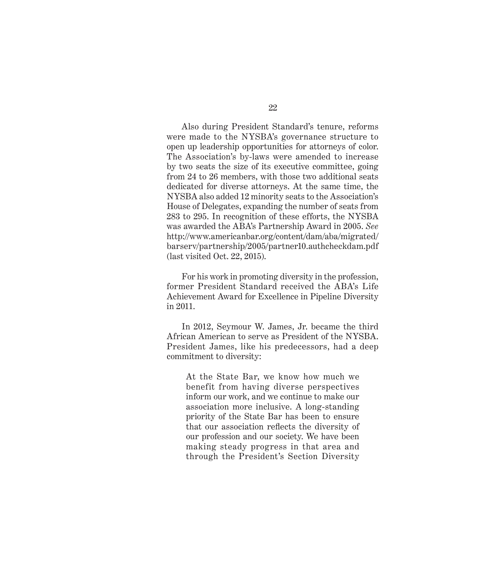Also during President Standard's tenure, reforms were made to the NYSBA's governance structure to open up leadership opportunities for attorneys of color. The Association's by-laws were amended to increase by two seats the size of its executive committee, going from 24 to 26 members, with those two additional seats dedicated for diverse attorneys. At the same time, the NYSBA also added 12 minority seats to the Association's House of Delegates, expanding the number of seats from 283 to 295. In recognition of these efforts, the NYSBA was awarded the ABA's Partnership Award in 2005. *See*  http://www.americanbar.org/content/dam/aba/migrated/ barserv/partnership/2005/partner10.authcheckdam.pdf (last visited Oct. 22, 2015).

For his work in promoting diversity in the profession, former President Standard received the ABA's Life Achievement Award for Excellence in Pipeline Diversity in 2011.

In 2012, Seymour W. James, Jr. became the third African American to serve as President of the NYSBA. President James, like his predecessors, had a deep commitment to diversity:

At the State Bar, we know how much we benefit from having diverse perspectives inform our work, and we continue to make our association more inclusive. A long-standing priority of the State Bar has been to ensure that our association reflects the diversity of our profession and our society. We have been making steady progress in that area and through the President's Section Diversity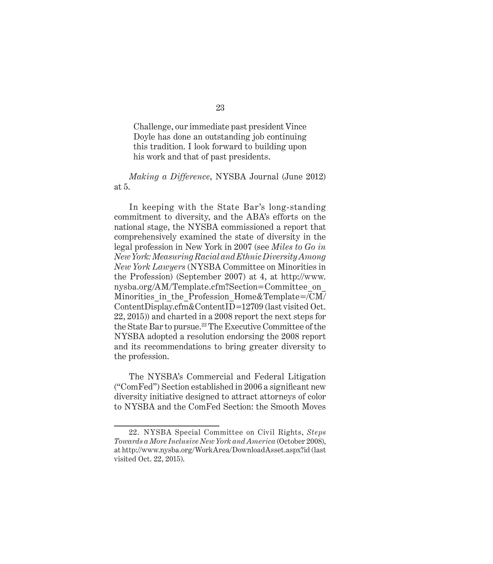Challenge, our immediate past president Vince Doyle has done an outstanding job continuing this tradition. I look forward to building upon his work and that of past presidents.

### *Making a Difference*, NYSBA Journal (June 2012) at 5.

In keeping with the State Bar's long-standing commitment to diversity, and the ABA's efforts on the national stage, the NYSBA commissioned a report that comprehensively examined the state of diversity in the legal profession in New York in 2007 (see *Miles to Go in New York: Measuring Racial and Ethnic Diversity Among New York Lawyers* (NYSBA Committee on Minorities in the Profession) (September 2007) at 4, at http://www. nysba.org/AM/Template.cfm?Section=Committee\_ on\_ Minorities in the Profession Home&Template=/CM/ ContentDisplay.cfm&ContentID=12709 (last visited Oct. 22, 2015)) and charted in a 2008 report the next steps for the State Bar to pursue.22 The Executive Committee of the NYSBA adopted a resolution endorsing the 2008 report and its recommendations to bring greater diversity to the profession.

The NYSBA's Commercial and Federal Litigation  $("ComFed")$  Section established in 2006 a significant new diversity initiative designed to attract attorneys of color to NYSBA and the ComFed Section: the Smooth Moves

<sup>22.</sup> NYSBA Special Committee on Civil Rights, *Steps Towards a More Inclusive New York and America* (October 2008), at http://www.nysba.org/WorkArea/DownloadAsset.aspx?id (last visited Oct. 22, 2015).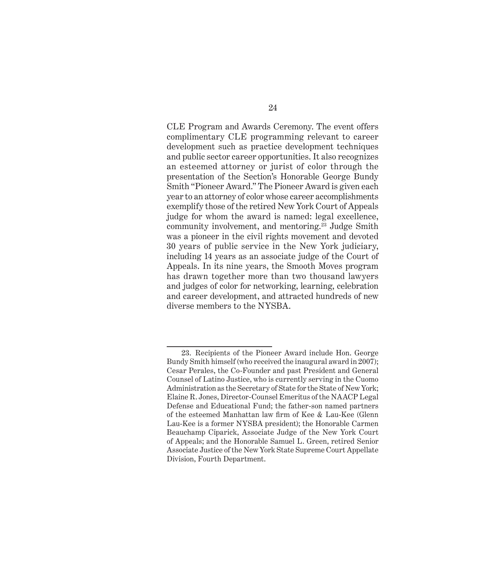CLE Program and Awards Ceremony. The event offers complimentary CLE programming relevant to career development such as practice development techniques and public sector career opportunities. It also recognizes an esteemed attorney or jurist of color through the presentation of the Section's Honorable George Bundy Smith "Pioneer Award." The Pioneer Award is given each year to an attorney of color whose career accomplishments exemplify those of the retired New York Court of Appeals judge for whom the award is named: legal excellence, community involvement, and mentoring.23 Judge Smith was a pioneer in the civil rights movement and devoted 30 years of public service in the New York judiciary, including 14 years as an associate judge of the Court of Appeals. In its nine years, the Smooth Moves program has drawn together more than two thousand lawyers and judges of color for networking, learning, celebration and career development, and attracted hundreds of new diverse members to the NYSBA.

<sup>23.</sup> Recipients of the Pioneer Award include Hon. George Bundy Smith himself (who received the inaugural award in 2007); Cesar Perales, the Co-Founder and past President and General Counsel of Latino Justice, who is currently serving in the Cuomo Administration as the Secretary of State for the State of New York; Elaine R. Jones, Director-Counsel Emeritus of the NAACP Legal Defense and Educational Fund; the father-son named partners of the esteemed Manhattan law firm of Kee & Lau-Kee (Glenn Lau-Kee is a former NYSBA president); the Honorable Carmen Beauchamp Ciparick, Associate Judge of the New York Court of Appeals; and the Honorable Samuel L. Green, retired Senior Associate Justice of the New York State Supreme Court Appellate Division, Fourth Department.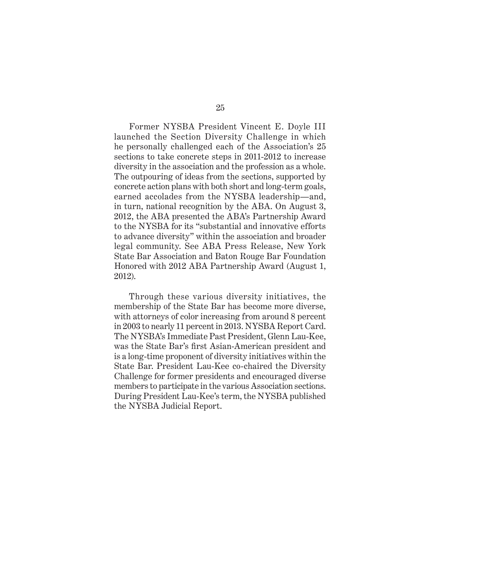Former NYSBA President Vincent E. Doyle III launched the Section Diversity Challenge in which he personally challenged each of the Association's 25 sections to take concrete steps in 2011-2012 to increase diversity in the association and the profession as a whole. The outpouring of ideas from the sections, supported by concrete action plans with both short and long-term goals, earned accolades from the NYSBA leadership—and, in turn, national recognition by the ABA. On August 3, 2012, the ABA presented the ABA's Partnership Award to the NYSBA for its "substantial and innovative efforts to advance diversity" within the association and broader legal community. See ABA Press Release, New York State Bar Association and Baton Rouge Bar Foundation Honored with 2012 ABA Partnership Award (August 1, 2012).

Through these various diversity initiatives, the membership of the State Bar has become more diverse, with attorneys of color increasing from around 8 percent in 2003 to nearly 11 percent in 2013. NYSBA Report Card. The NYSBA's Immediate Past President, Glenn Lau-Kee, was the State Bar's first Asian-American president and is a long-time proponent of diversity initiatives within the State Bar. President Lau-Kee co-chaired the Diversity Challenge for former presidents and encouraged diverse members to participate in the various Association sections. During President Lau-Kee's term, the NYSBA published the NYSBA Judicial Report.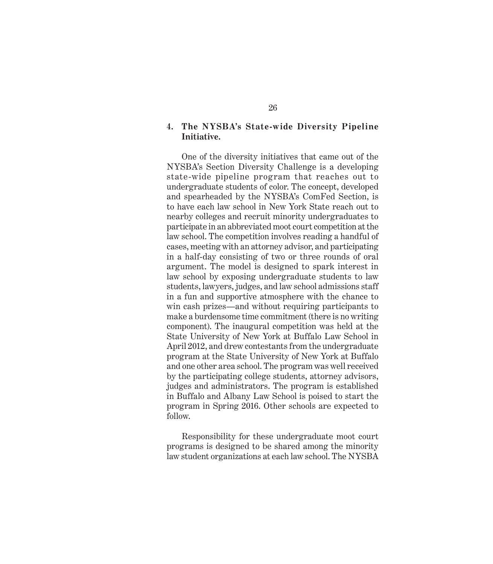### **4. The NYSBA's State-wide Diversity Pipeline Initiative.**

One of the diversity initiatives that came out of the NYSBA's Section Diversity Challenge is a developing state-wide pipeline program that reaches out to undergraduate students of color. The concept, developed and spearheaded by the NYSBA's ComFed Section, is to have each law school in New York State reach out to nearby colleges and recruit minority undergraduates to participate in an abbreviated moot court competition at the law school. The competition involves reading a handful of cases, meeting with an attorney advisor, and participating in a half-day consisting of two or three rounds of oral argument. The model is designed to spark interest in law school by exposing undergraduate students to law students, lawyers, judges, and law school admissions staff in a fun and supportive atmosphere with the chance to win cash prizes—and without requiring participants to make a burdensome time commitment (there is no writing component). The inaugural competition was held at the State University of New York at Buffalo Law School in April 2012, and drew contestants from the undergraduate program at the State University of New York at Buffalo and one other area school. The program was well received by the participating college students, attorney advisors, judges and administrators. The program is established in Buffalo and Albany Law School is poised to start the program in Spring 2016. Other schools are expected to follow.

Responsibility for these undergraduate moot court programs is designed to be shared among the minority law student organizations at each law school. The NYSBA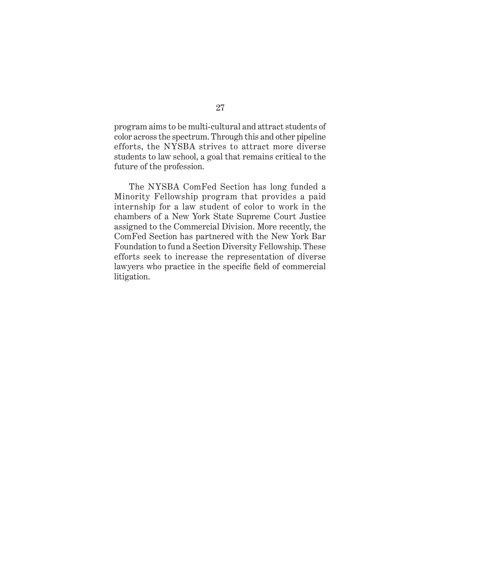program aims to be multi-cultural and attract students of color across the spectrum. Through this and other pipeline efforts, the NYSBA strives to attract more diverse students to law school, a goal that remains critical to the future of the profession.

The NYSBA ComFed Section has long funded a Minority Fellowship program that provides a paid internship for a law student of color to work in the chambers of a New York State Supreme Court Justice assigned to the Commercial Division. More recently, the ComFed Section has partnered with the New York Bar Foundation to fund a Section Diversity Fellowship. These efforts seek to increase the representation of diverse lawyers who practice in the specific field of commercial litigation.